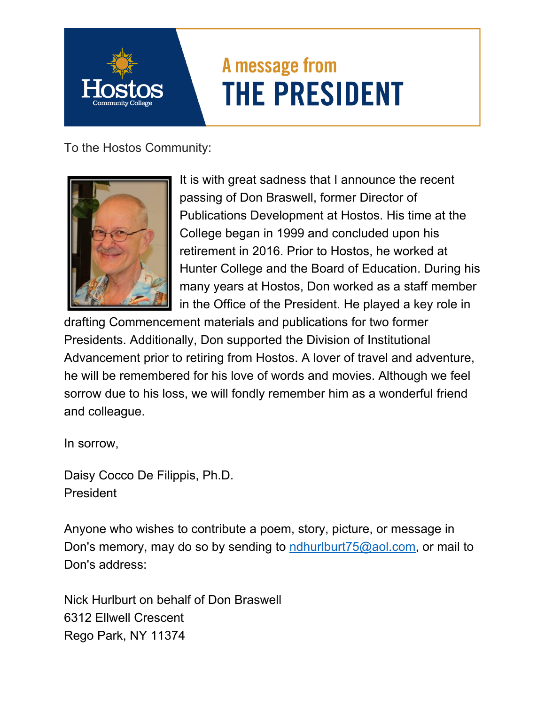## A message from **THE PRESIDENT**

To the Hostos Community:



It is with great sadness that I announce the recent passing of Don Braswell, former Director of Publications Development at Hostos. His time at the College began in 1999 and concluded upon his retirement in 2016. Prior to Hostos, he worked at Hunter College and the Board of Education. During his many years at Hostos, Don worked as a staff member in the Office of the President. He played a key role in

drafting Commencement materials and publications for two former Presidents. Additionally, Don supported the Division of Institutional Advancement prior to retiring from Hostos. A lover of travel and adventure, he will be remembered for his love of words and movies. Although we feel sorrow due to his loss, we will fondly remember him as a wonderful friend and colleague.

In sorrow,

Daisy Cocco De Filippis, Ph.D. President

Anyone who wishes to contribute a poem, story, picture, or message in Don's memory, may do so by sending to ndhurlburt  $75@$  aol.com, or mail to Don's address:

Nick Hurlburt on behalf of Don Braswell 6312 Ellwell Crescent Rego Park, NY 11374